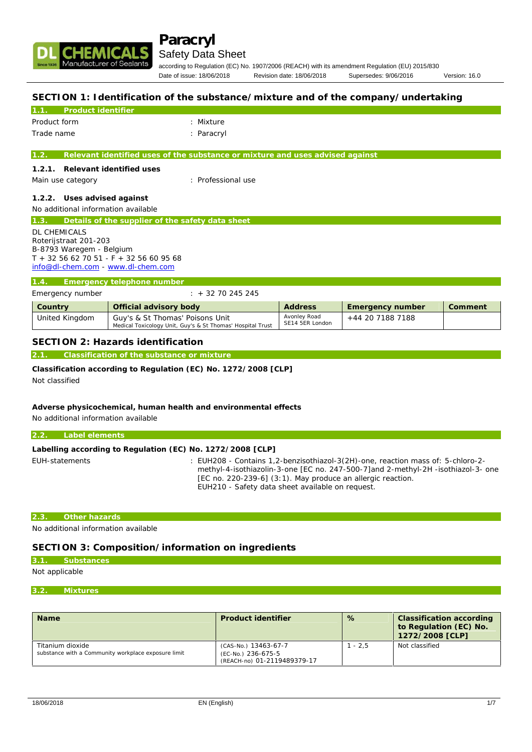

# **Paracryl**

# Safety Data Sheet

according to Regulation (EC) No. 1907/2006 (REACH) with its amendment Regulation (EU) 2015/830 Date of issue: 18/06/2018 Revision date: 18/06/2018 Supersedes: 9/06/2016 Version: 16.0

## **SECTION 1: Identification of the substance/mixture and of the company/undertaking**

| Product identifier                                      |                                                                               |
|---------------------------------------------------------|-------------------------------------------------------------------------------|
| Product form                                            | : Mixture                                                                     |
| Trade name                                              | : Paracryl                                                                    |
|                                                         |                                                                               |
| 1.2.                                                    | Relevant identified uses of the substance or mixture and uses advised against |
| Relevant identified uses<br>1.2.1.                      |                                                                               |
| Main use category                                       | : Professional use                                                            |
| 1.2.2. Uses advised against                             |                                                                               |
| No additional information available                     |                                                                               |
| Details of the supplier of the safety data sheet<br>1.3 |                                                                               |
| <b>DL CHEMICALS</b>                                     |                                                                               |
| Roterijstraat 201-203                                   |                                                                               |
| B-8793 Waregem - Belgium                                |                                                                               |
| $T + 3256627051 - F + 3256609568$                       |                                                                               |
| info@dl-chem.com - www.dl-chem.com                      |                                                                               |
| Emergency telephone number<br>1.4                       |                                                                               |
| Emergency number                                        | $: + 3270245245$                                                              |

| Country        | Official advisory body                                                                        | Address                         | Emergency number | Comment |
|----------------|-----------------------------------------------------------------------------------------------|---------------------------------|------------------|---------|
| United Kingdom | Guy's & St Thomas' Poisons Unit<br>Medical Toxicology Unit, Guy's & St Thomas' Hospital Trust | Avonley Road<br>SE14 5ER London | +44 20 7188 7188 |         |

### **SECTION 2: Hazards identification**

**2.1. Classification of the substance or mixture**

**Classification according to Regulation (EC) No. 1272/2008 [CLP]** Not classified

**Adverse physicochemical, human health and environmental effects** No additional information available

| $2.2 -$        | Label elements                                             |                                                                                                                                                                     |
|----------------|------------------------------------------------------------|---------------------------------------------------------------------------------------------------------------------------------------------------------------------|
|                |                                                            |                                                                                                                                                                     |
|                | Labelling according to Regulation (EC) No. 1272/2008 [CLP] |                                                                                                                                                                     |
| EUH-statements |                                                            | : EUH208 - Contains 1,2-benzisothiazol-3(2H)-one, reaction mass of: 5-chloro-2-<br>methyl-4-isothiazolin-3-one [EC no. 247-500-7] and 2-methyl-2H -isothiazol-3-one |
|                |                                                            | [EC no. 220-239-6] (3:1). May produce an allergic reaction.                                                                                                         |
|                |                                                            | EUH210 - Safety data sheet available on request.                                                                                                                    |

#### **2.3. Other hazards**

No additional information available

## **SECTION 3: Composition/information on ingredients**

#### **3.1. Substances**

## Not applicable

#### **3.2. Mixtures**

| Name                                                                    | Product identifier                                                        | %         | Classification according<br>to Regulation (EC) No.<br>1272/2008 [CLP] |
|-------------------------------------------------------------------------|---------------------------------------------------------------------------|-----------|-----------------------------------------------------------------------|
| Titanium dioxide<br>substance with a Community workplace exposure limit | (CAS-No.) 13463-67-7<br>(EC-No.) 236-675-5<br>(REACH-no) 01-2119489379-17 | $1 - 2.5$ | Not classified                                                        |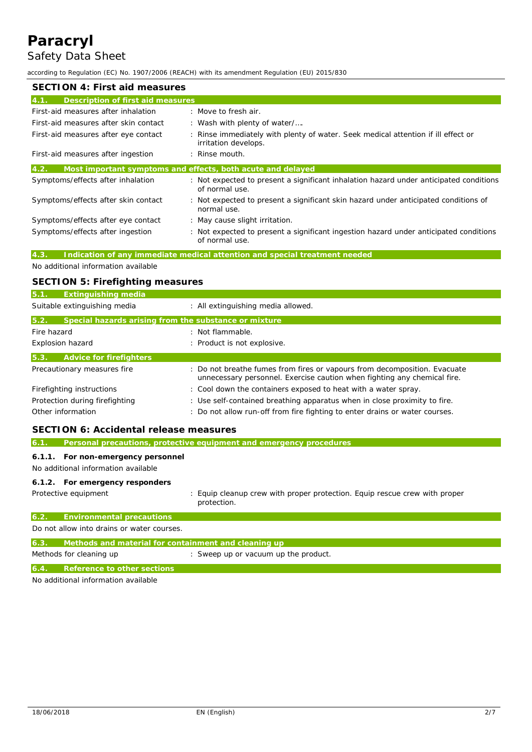# **Paracryl** Safety Data Sheet

#### according to Regulation (EC) No. 1907/2006 (REACH) with its amendment Regulation (EU) 2015/830

| SECTION 4: First aid measures             |                                                                                                          |  |  |
|-------------------------------------------|----------------------------------------------------------------------------------------------------------|--|--|
| Description of first aid measures<br>4.1. |                                                                                                          |  |  |
| First-aid measures after inhalation       | : Move to fresh air.                                                                                     |  |  |
| First-aid measures after skin contact     | : Wash with plenty of water/                                                                             |  |  |
| First-aid measures after eye contact      | Rinse immediately with plenty of water. Seek medical attention if ill effect or<br>irritation develops.  |  |  |
| First-aid measures after ingestion        | : Rinse mouth.                                                                                           |  |  |
| 4.2.                                      | Most important symptoms and effects, both acute and delayed                                              |  |  |
| Symptoms/effects after inhalation         | : Not expected to present a significant inhalation hazard under anticipated conditions<br>of normal use. |  |  |
| Symptoms/effects after skin contact       | : Not expected to present a significant skin hazard under anticipated conditions of<br>normal use.       |  |  |
| Symptoms/effects after eye contact        | : May cause slight irritation.                                                                           |  |  |
| Symptoms/effects after ingestion          | : Not expected to present a significant ingestion hazard under anticipated conditions<br>of normal use.  |  |  |

## **4.3. Indication of any immediate medical attention and special treatment needed**

No additional information available

# **SECTION 5: Firefighting measures**

| Extinguishing media                                   |                                                                                                                                                                                                               |
|-------------------------------------------------------|---------------------------------------------------------------------------------------------------------------------------------------------------------------------------------------------------------------|
|                                                       | : All extinguishing media allowed.                                                                                                                                                                            |
| Special hazards arising from the substance or mixture |                                                                                                                                                                                                               |
|                                                       | : Not flammable.                                                                                                                                                                                              |
|                                                       | : Product is not explosive.                                                                                                                                                                                   |
|                                                       |                                                                                                                                                                                                               |
|                                                       | : Do not breathe fumes from fires or vapours from decomposition. Evacuate<br>unnecessary personnel. Exercise caution when fighting any chemical fire.                                                         |
|                                                       | : Cool down the containers exposed to heat with a water spray.                                                                                                                                                |
|                                                       | : Use self-contained breathing apparatus when in close proximity to fire.                                                                                                                                     |
|                                                       | : Do not allow run-off from fire fighting to enter drains or water courses.                                                                                                                                   |
|                                                       | Suitable extinguishing media<br>Fire hazard<br>Explosion hazard<br>Advice for firefighters<br>Precautionary measures fire<br>Firefighting instructions<br>Protection during firefighting<br>Other information |

# **SECTION 6: Accidental release measures**

| 6.1.   |                                                      | Personal precautions, protective equipment and emergency procedures                       |
|--------|------------------------------------------------------|-------------------------------------------------------------------------------------------|
|        |                                                      |                                                                                           |
| 6.1.1. | For non-emergency personnel                          |                                                                                           |
|        | No additional information available                  |                                                                                           |
|        |                                                      |                                                                                           |
|        | 6.1.2. For emergency responders                      |                                                                                           |
|        | Protective equipment                                 | : Equip cleanup crew with proper protection. Equip rescue crew with proper<br>protection. |
| 6.2.   | <b>Environmental precautions</b>                     |                                                                                           |
|        | Do not allow into drains or water courses.           |                                                                                           |
| 6.3.   | Methods and material for containment and cleaning up |                                                                                           |
|        | Methods for cleaning up                              | : Sweep up or vacuum up the product.                                                      |
| 6.4.   | Reference to other sections                          |                                                                                           |

No additional information available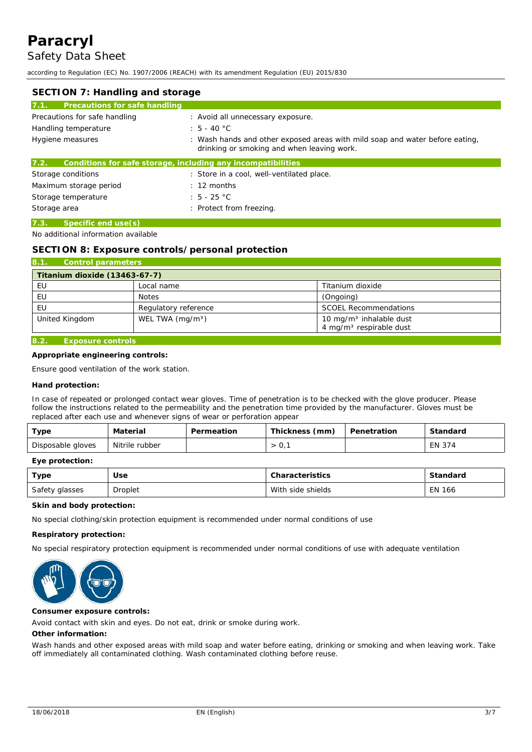according to Regulation (EC) No. 1907/2006 (REACH) with its amendment Regulation (EU) 2015/830

| SECTION 7: Handling and storage       |                                                                                                                            |  |  |
|---------------------------------------|----------------------------------------------------------------------------------------------------------------------------|--|--|
| 7.1.<br>Precautions for safe handling |                                                                                                                            |  |  |
| Precautions for safe handling         | : Avoid all unnecessary exposure.                                                                                          |  |  |
| Handling temperature                  | : $5 - 40 °C$                                                                                                              |  |  |
| Hygiene measures                      | : Wash hands and other exposed areas with mild soap and water before eating,<br>drinking or smoking and when leaving work. |  |  |
| 7.2.                                  | Conditions for safe storage, including any incompatibilities                                                               |  |  |
| Storage conditions                    | : Store in a cool, well-ventilated place.                                                                                  |  |  |
| Maximum storage period                | $\pm$ 12 months                                                                                                            |  |  |
| Storage temperature                   | $: 5 - 25 °C$                                                                                                              |  |  |
| Storage area                          | : Protect from freezing.                                                                                                   |  |  |

#### **7.3. Specific end use(s)**

#### No additional information available

#### **SECTION 8: Exposure controls/personal protection**

| 8.1.<br>Control parameters    |                      |                                                                            |
|-------------------------------|----------------------|----------------------------------------------------------------------------|
| Titanium dioxide (13463-67-7) |                      |                                                                            |
| EU                            | Local name           | Titanium dioxide                                                           |
| EU                            | <b>Notes</b>         | (Ongoing)                                                                  |
| EU                            | Regulatory reference | <b>SCOEL Recommendations</b>                                               |
| United Kingdom                | WEL TWA $(mq/m3)$    | 10 mg/m <sup>3</sup> inhalable dust<br>4 mg/m <sup>3</sup> respirable dust |
|                               |                      |                                                                            |

# **8.2. Exposure controls**

**Appropriate engineering controls:**

Ensure good ventilation of the work station.

**Hand protection:**

In case of repeated or prolonged contact wear gloves. Time of penetration is to be checked with the glove producer. Please follow the instructions related to the permeability and the penetration time provided by the manufacturer. Gloves must be replaced after each use and whenever signs of wear or perforation appear

| туре              | Material       | Permeation | Thickness (mm) | Penetration | Standard |
|-------------------|----------------|------------|----------------|-------------|----------|
| Disposable gloves | Nitrile rubber |            | $\cup$ ,       |             | EN 374   |

#### **Eye protection:**

| Type           | Use     | Characteristics   | Standard      |
|----------------|---------|-------------------|---------------|
| Safety glasses | Droplet | With side shields | <b>EN 166</b> |

**Skin and body protection:**

No special clothing/skin protection equipment is recommended under normal conditions of use

**Respiratory protection:**

No special respiratory protection equipment is recommended under normal conditions of use with adequate ventilation



**Consumer exposure controls:**

Avoid contact with skin and eyes. Do not eat, drink or smoke during work.

**Other information:**

Wash hands and other exposed areas with mild soap and water before eating, drinking or smoking and when leaving work. Take off immediately all contaminated clothing. Wash contaminated clothing before reuse.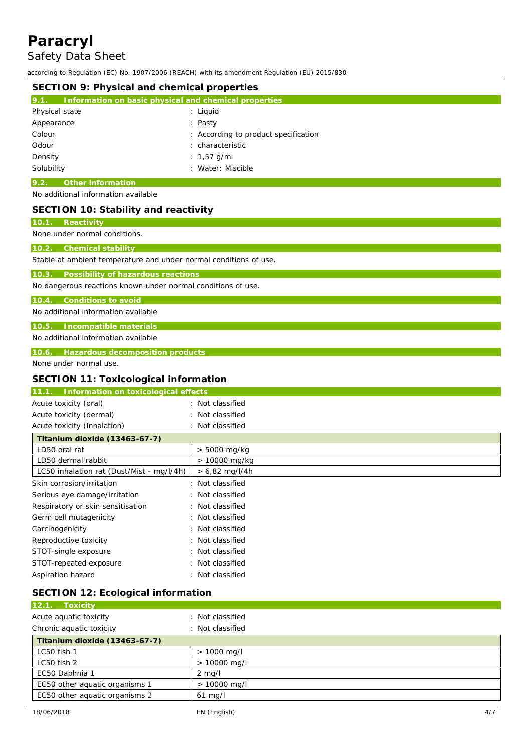# **Paracryl** Safety Data Sheet

according to Regulation (EC) No. 1907/2006 (REACH) with its amendment Regulation (EU) 2015/830

| containg to negalation (EU) no. Thom 2000 (nerion) munitis amenament negalation (EU) 2010/000<br>SECTION 9: Physical and chemical properties |                                                                                                                       |  |  |
|----------------------------------------------------------------------------------------------------------------------------------------------|-----------------------------------------------------------------------------------------------------------------------|--|--|
| 9.1. Information on basic physical and chemical properties                                                                                   |                                                                                                                       |  |  |
| Physical state<br>Appearance<br>Colour<br>Odour<br>Density<br>Solubility                                                                     | : Liquid<br>: Pasty<br>: According to product specification<br>: characteristic<br>: $1,57$ g/ml<br>: Water: Miscible |  |  |
| $\overline{9.2}$ .<br>Other information                                                                                                      |                                                                                                                       |  |  |
| No additional information available                                                                                                          |                                                                                                                       |  |  |
| SECTION 10: Stability and reactivity                                                                                                         |                                                                                                                       |  |  |
| Reactivity<br>10.1.                                                                                                                          |                                                                                                                       |  |  |
| None under normal conditions.                                                                                                                |                                                                                                                       |  |  |
| <b>Chemical stability</b><br>10.2.                                                                                                           |                                                                                                                       |  |  |
| Stable at ambient temperature and under normal conditions of use.                                                                            |                                                                                                                       |  |  |
| Possibility of hazardous reactions<br>10.3.<br>No dangerous reactions known under normal conditions of use.                                  |                                                                                                                       |  |  |
| 10.4. Conditions to avoid                                                                                                                    |                                                                                                                       |  |  |
| No additional information available                                                                                                          |                                                                                                                       |  |  |
| 10.5. Incompatible materials                                                                                                                 |                                                                                                                       |  |  |
| No additional information available                                                                                                          |                                                                                                                       |  |  |
| 10.6.<br>Hazardous decomposition products                                                                                                    |                                                                                                                       |  |  |
| None under normal use.                                                                                                                       |                                                                                                                       |  |  |
| SECTION 11: Toxicological information                                                                                                        |                                                                                                                       |  |  |
| 11.1. Information on toxicological effects                                                                                                   |                                                                                                                       |  |  |
| Acute toxicity (oral)                                                                                                                        | : Not classified                                                                                                      |  |  |
| Acute toxicity (dermal)                                                                                                                      | : Not classified                                                                                                      |  |  |
| Acute toxicity (inhalation)                                                                                                                  | : Not classified                                                                                                      |  |  |
| Titanium dioxide (13463-67-7)                                                                                                                |                                                                                                                       |  |  |
| LD50 oral rat                                                                                                                                | > 5000 mg/kg                                                                                                          |  |  |
| LD50 dermal rabbit                                                                                                                           | > 10000 mg/kg                                                                                                         |  |  |
| LC50 inhalation rat (Dust/Mist - mg/l/4h)                                                                                                    | > 6,82 mg/l/4h                                                                                                        |  |  |
| Skin corrosion/irritation                                                                                                                    | : Not classified                                                                                                      |  |  |
| Serious eye damage/irritation                                                                                                                | Not classified                                                                                                        |  |  |
| Respiratory or skin sensitisation                                                                                                            | Not classified                                                                                                        |  |  |
| Germ cell mutagenicity                                                                                                                       | Not classified                                                                                                        |  |  |
| Carcinogenicity                                                                                                                              | Not classified                                                                                                        |  |  |
| Reproductive toxicity                                                                                                                        | Not classified                                                                                                        |  |  |
| STOT-single exposure                                                                                                                         | Not classified                                                                                                        |  |  |
| STOT-repeated exposure                                                                                                                       | Not classified                                                                                                        |  |  |
| Aspiration hazard                                                                                                                            | : Not classified                                                                                                      |  |  |
| SECTION 12: Ecological information                                                                                                           |                                                                                                                       |  |  |
| <b>Toxicity</b><br>12.1                                                                                                                      |                                                                                                                       |  |  |
| Acute aquatic toxicity                                                                                                                       | : Not classified                                                                                                      |  |  |

| ricato aquatio toxion?         |                  |  |
|--------------------------------|------------------|--|
| Chronic aquatic toxicity       | : Not classified |  |
| Titanium dioxide (13463-67-7)  |                  |  |
| LC50 fish 1                    | $> 1000$ mg/l    |  |
| LC50 fish 2                    | $> 10000$ mg/l   |  |
| EC50 Daphnia 1                 | $2 \text{ mg/l}$ |  |
| EC50 other aquatic organisms 1 | $> 10000$ mg/l   |  |
| EC50 other aquatic organisms 2 | $61$ mg/l        |  |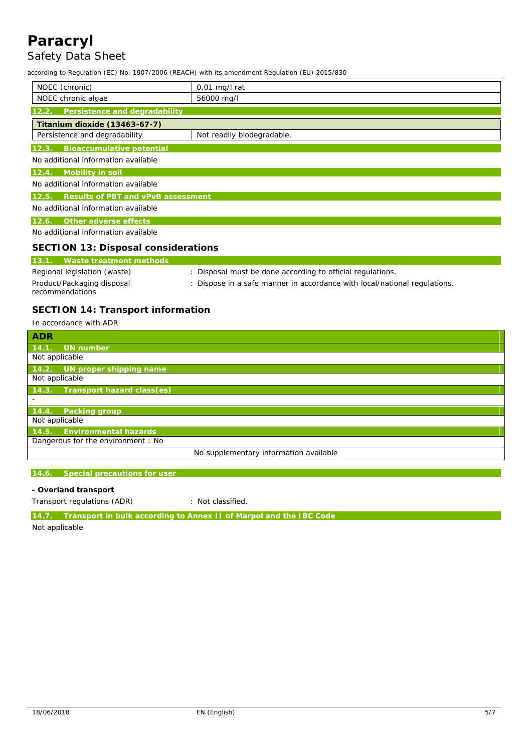# **Paracryl** Safety Data Sheet

according to Regulation (EC) No. 1907/2006 (REACH) with its amendment Regulation (EU) 2015/830

| NOEC (chronic)                              | $0,01$ mg/l rat                                                         |
|---------------------------------------------|-------------------------------------------------------------------------|
| NOEC chronic algae                          | 56000 mg/l                                                              |
| Persistence and degradability<br>12.2.      |                                                                         |
| Titanium dioxide (13463-67-7)               |                                                                         |
| Persistence and degradability               | Not readily biodegradable.                                              |
| 12.3.<br>Bioaccumulative potential          |                                                                         |
| No additional information available         |                                                                         |
| Mobility in soil<br>12.4.                   |                                                                         |
| No additional information available         |                                                                         |
| Results of PBT and vPvB assessment<br>12.5. |                                                                         |
| No additional information available         |                                                                         |
| 12.6.<br>Other adverse effects              |                                                                         |
| No additional information available         |                                                                         |
| SECTION 13: Disposal considerations         |                                                                         |
| Waste treatment methods<br>13.1.            |                                                                         |
| Regional legislation (waste)                | : Disposal must be done according to official regulations.              |
| Product/Packaging disposal                  | Dispose in a safe manner in accordance with local/national regulations. |

# **SECTION 14: Transport information**

In accordance with ADR

recommendations

| <b>ADR</b>                             |
|----------------------------------------|
| 14.1. UN number                        |
| Not applicable                         |
| 14.2. UN proper shipping name          |
| Not applicable                         |
| Transport hazard class(es)<br>14.3.    |
|                                        |
| 14.4.<br>Packing group                 |
| Not applicable                         |
| 14.5. Environmental hazards            |
| Dangerous for the environment : No     |
| No supplementary information available |

#### **14.6. Special precautions for user**

**- Overland transport**

Transport regulations (ADR) : Not classified.

**14.7. Transport in bulk according to Annex II of Marpol and the IBC Code**

Not applicable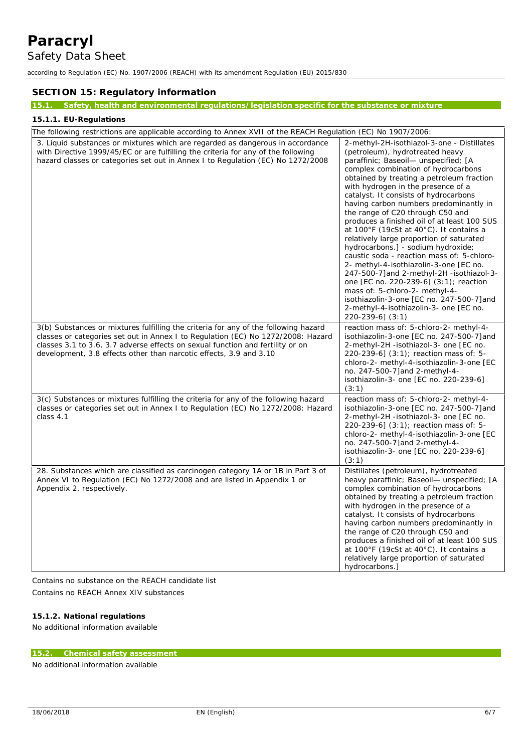according to Regulation (EC) No. 1907/2006 (REACH) with its amendment Regulation (EU) 2015/830

## **SECTION 15: Regulatory information**

## **15.1. Safety, health and environmental regulations/legislation specific for the substance or mixture**

## **15.1.1. EU-Regulations**

| The following restrictions are applicable according to Annex XVII of the REACH Regulation (EC) No 1907/2006:                                                                                                                                                                                                                    |                                                                                                                                                                                                                                                                                                                                                                                                                                                                                                                                                                                                                                                                                                                                                                                                                                                                                        |
|---------------------------------------------------------------------------------------------------------------------------------------------------------------------------------------------------------------------------------------------------------------------------------------------------------------------------------|----------------------------------------------------------------------------------------------------------------------------------------------------------------------------------------------------------------------------------------------------------------------------------------------------------------------------------------------------------------------------------------------------------------------------------------------------------------------------------------------------------------------------------------------------------------------------------------------------------------------------------------------------------------------------------------------------------------------------------------------------------------------------------------------------------------------------------------------------------------------------------------|
| 3. Liquid substances or mixtures which are regarded as dangerous in accordance<br>with Directive 1999/45/EC or are fulfilling the criteria for any of the following<br>hazard classes or categories set out in Annex I to Regulation (EC) No 1272/2008                                                                          | 2-methyl-2H-isothiazol-3-one - Distillates<br>(petroleum), hydrotreated heavy<br>paraffinic; Baseoil- unspecified; [A<br>complex combination of hydrocarbons<br>obtained by treating a petroleum fraction<br>with hydrogen in the presence of a<br>catalyst. It consists of hydrocarbons<br>having carbon numbers predominantly in<br>the range of C20 through C50 and<br>produces a finished oil of at least 100 SUS<br>at 100°F (19cSt at 40°C). It contains a<br>relatively large proportion of saturated<br>hydrocarbons.] - sodium hydroxide;<br>caustic soda - reaction mass of: 5-chloro-<br>2- methyl-4-isothiazolin-3-one [EC no.<br>247-500-7] and 2-methyl-2H -isothiazol-3-<br>one [EC no. 220-239-6] (3:1); reaction<br>mass of: 5-chloro-2- methyl-4-<br>isothiazolin-3-one [EC no. 247-500-7]and<br>2-methyl-4-isothiazolin-3- one [EC no.<br>$220 - 239 - 6$ ] $(3:1)$ |
| 3(b) Substances or mixtures fulfilling the criteria for any of the following hazard<br>classes or categories set out in Annex I to Regulation (EC) No 1272/2008: Hazard<br>classes 3.1 to 3.6, 3.7 adverse effects on sexual function and fertility or on<br>development, 3.8 effects other than narcotic effects, 3.9 and 3.10 | reaction mass of: 5-chloro-2- methyl-4-<br>isothiazolin-3-one [EC no. 247-500-7]and<br>2-methyl-2H -isothiazol-3- one [EC no.<br>$220-239-6$ ] $(3:1)$ ; reaction mass of: 5-<br>chloro-2- methyl-4-isothiazolin-3-one [EC<br>no. 247-500-7] and 2-methyl-4-<br>isothiazolin-3- one [EC no. 220-239-6]<br>(3:1)                                                                                                                                                                                                                                                                                                                                                                                                                                                                                                                                                                        |
| 3(c) Substances or mixtures fulfilling the criteria for any of the following hazard<br>classes or categories set out in Annex I to Regulation (EC) No 1272/2008: Hazard<br>class 4.1                                                                                                                                            | reaction mass of: 5-chloro-2- methyl-4-<br>isothiazolin-3-one [EC no. 247-500-7]and<br>2-methyl-2H -isothiazol-3- one [EC no.<br>220-239-6] (3:1); reaction mass of: 5-<br>chloro-2- methyl-4-isothiazolin-3-one [EC<br>no. 247-500-7 and 2-methyl-4-<br>isothiazolin-3- one [EC no. 220-239-6]<br>(3:1)                                                                                                                                                                                                                                                                                                                                                                                                                                                                                                                                                                               |
| 28. Substances which are classified as carcinogen category 1A or 1B in Part 3 of<br>Annex VI to Regulation (EC) No 1272/2008 and are listed in Appendix 1 or<br>Appendix 2, respectively.                                                                                                                                       | Distillates (petroleum), hydrotreated<br>heavy paraffinic; Baseoil- unspecified; [A<br>complex combination of hydrocarbons<br>obtained by treating a petroleum fraction<br>with hydrogen in the presence of a<br>catalyst. It consists of hydrocarbons<br>having carbon numbers predominantly in<br>the range of C20 through C50 and<br>produces a finished oil of at least 100 SUS<br>at 100°F (19cSt at 40°C). It contains a<br>relatively large proportion of saturated<br>hydrocarbons.]                                                                                                                                                                                                                                                                                                                                                                                           |

Contains no substance on the REACH candidate list Contains no REACH Annex XIV substances

**15.1.2. National regulations**

No additional information available

## **15.2. Chemical safety assessment**

No additional information available